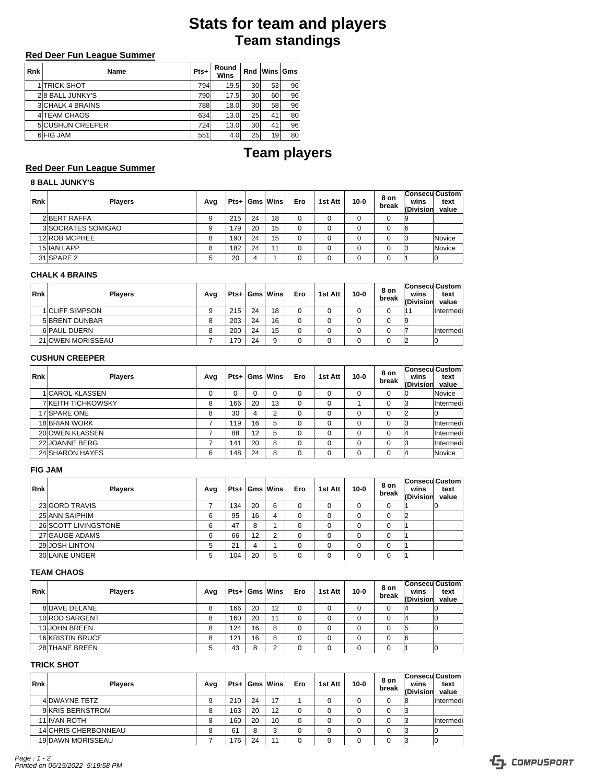# **Team standings Stats for team and players**

## **Red Deer Fun League Summer**

| <b>Rnk</b> | Name                    | Pts+ | Round<br>Wins | Rnd | Wins Gms |    |
|------------|-------------------------|------|---------------|-----|----------|----|
|            | <b>1 TRICK SHOT</b>     | 794  | 19.5          | 30  | 53       | 96 |
|            | 28 BALL JUNKY'S         | 790  | 17.5          | 30  | 60       | 96 |
|            | <b>3 CHALK 4 BRAINS</b> | 788  | 18.0          | 30  | 58       | 96 |
|            | 4 TEAM CHAOS            | 634  | 13.0          | 25  | 41       | 80 |
|            | <b>5 CUSHUN CREEPER</b> | 724  | 13.0          | 30  | 41       | 96 |
|            | 6 FIG JAM               | 551  | 4.0           | 25  | 19       | 80 |

# **Team players**

## **Red Deer Fun League Summer**

# **8 BALL JUNKY'S**

| <b>Rnk</b> | <b>Players</b>     | Avg |     |    | $Pts +  Gms $ Wins | Ero | 1st Att | $10 - 0$ | 8 on<br>break | wins<br>(Division | Consecu Custom<br>text<br>value |
|------------|--------------------|-----|-----|----|--------------------|-----|---------|----------|---------------|-------------------|---------------------------------|
|            | 2 BERT RAFFA       |     | 215 | 24 | 18                 | 0   |         |          |               |                   |                                 |
|            | 3 SOCRATES SOMIGAO |     | 179 | 20 | 15                 | 0   |         |          |               | 16                |                                 |
|            | 12 ROB MCPHEE      | 8   | 190 | 24 | 15                 | 0   |         |          |               |                   | Novice                          |
|            | <b>15 IAN LAPP</b> |     | 182 | 24 | 11                 |     |         |          |               |                   | Novice                          |
|            | 31 SPARE 2         |     | 20  |    |                    |     |         |          |               |                   |                                 |

#### **CHALK 4 BRAINS**

| <b>Rnk</b> | <b>Plavers</b>         | Avg |     |    | $Pts +  Gms $ Wins | Ero | 1st Att | $10 - 0$ | 8 on<br>break | <b>Consecu Custom</b><br>wins<br>(Division | text<br>value |
|------------|------------------------|-----|-----|----|--------------------|-----|---------|----------|---------------|--------------------------------------------|---------------|
|            | <b>1 CLIFF SIMPSON</b> | 9   | 215 | 24 | 18                 |     |         |          |               |                                            | Intermedi     |
|            | 5 BRENT DUNBAR         | 8   | 203 | 24 | 16                 |     |         |          |               | 19                                         |               |
|            | 6 PAUL DUERN           | 8   | 200 | 24 | 15                 |     |         |          |               |                                            | Intermedi     |
|            | 21 OWEN MORISSEAU      |     | 170 | 24 | 9                  |     |         |          |               |                                            | 10            |

#### **CUSHUN CREEPER**

| <b>Rnk</b> | <b>Players</b>            | Avg |     |    | $Pts +  Gms $ Wins | Ero      | 1st Att  | $10 - 0$ | 8 on<br>break | <b>Consecu Custom</b><br>wins<br>(Division | text<br>value |
|------------|---------------------------|-----|-----|----|--------------------|----------|----------|----------|---------------|--------------------------------------------|---------------|
|            | 1 CAROL KLASSEN           | 0   |     | 0  | $\Omega$           | $\Omega$ | $\Omega$ | $\Omega$ | 0             | 10                                         | Novice        |
|            | <b>7 KEITH TICHKOWSKY</b> | 8   | 166 | 20 | 13                 | $\Omega$ | $\Omega$ |          | 0             | 3                                          | Intermedi     |
|            | 17 SPARE ONE              | 8   | 30  | 4  | $\overline{2}$     | $\Omega$ | $\Omega$ | $\Omega$ | 0             |                                            |               |
|            | 18 BRIAN WORK             |     | 119 | 16 | 5                  | $\Omega$ | $\Omega$ | $\Omega$ | $\Omega$      | 13                                         | Intermedi     |
|            | 20 OWEN KLASSEN           |     | 88  | 12 | 5                  | $\Omega$ | $\Omega$ | $\Omega$ | 0             |                                            | Intermedi     |
|            | 22 JOANNE BERG            |     | 141 | 20 | 8                  | 0        | $\Omega$ | $\Omega$ | 0             | 13                                         | Intermedi     |
|            | 24 SHARON HAYES           | 6   | 148 | 24 | 8                  |          | $\Omega$ | $\Omega$ | $\Omega$      |                                            | Novice        |

### **FIG JAM**

| <b>Rnk</b> | <b>Players</b>       | Avg |     |    | $Pts +  Gms $ Wins | Ero | 1st Att | $10 - 0$ | 8 on<br>break | Consecu Custom<br>wins<br><b>(Division</b> | text<br>value |
|------------|----------------------|-----|-----|----|--------------------|-----|---------|----------|---------------|--------------------------------------------|---------------|
|            | 23 GORD TRAVIS       |     | 134 | 20 | 6                  |     |         |          |               |                                            |               |
|            | 25 ANN SAIPHIM       |     | 95  | 16 | 4                  |     |         |          | 0             |                                            |               |
|            | 26 SCOTT LIVINGSTONE | 6   | 47  |    |                    |     |         |          |               |                                            |               |
|            | 27 GAUGE ADAMS       | 6   | 66  | 12 | 2                  |     |         |          |               |                                            |               |
|            | 29 JOSH LINTON       |     | 21  |    |                    |     |         |          |               |                                            |               |
|            | 30 LAINE UNGER       |     | 104 | 20 | 5                  |     |         |          |               |                                            |               |

#### **TEAM CHAOS**

| <b>Rnk</b> | <b>Players</b>   | Avg |     |    | $Pts +  Gms $ Wins | Ero | 1st Att | $10 - 0$ | 8 on<br>break | wins<br>(Divisior | Consecu Custom <br>text<br>value |
|------------|------------------|-----|-----|----|--------------------|-----|---------|----------|---------------|-------------------|----------------------------------|
|            | 8 DAVE DELANE    |     | 166 | 20 | 12                 |     |         |          |               | ıд                |                                  |
|            | 10 ROD SARGENT   |     | 160 | 20 | 11                 |     |         |          |               | ı                 |                                  |
|            | 13 JOHN BREEN    |     | 124 | 16 | 8                  |     |         |          |               |                   |                                  |
|            | 16 KRISTIN BRUCE |     | 121 | 16 | 8                  |     |         |          |               | 16                |                                  |
|            | 28 THANE BREEN   |     | 43  | 8  | c                  |     |         |          |               |                   |                                  |

## **TRICK SHOT**

| <b>Rnk</b> | <b>Players</b>       | Avg |     |    | $Pts+ Gms $ Wins | Ero | 1st Att | $10 - 0$ | 8 on<br>break | <b>Consecu Custom</b><br>wins<br>(Division | text<br>value |
|------------|----------------------|-----|-----|----|------------------|-----|---------|----------|---------------|--------------------------------------------|---------------|
|            | 4 DWAYNE TETZ        | 9   | 210 | 24 | 17               |     |         |          |               | 18                                         | Intermedi     |
|            | 9 KRIS BERNSTROM     | 8   | 163 | 20 | 12               | 0   |         |          | 0             |                                            |               |
|            | <b>11 IVAN ROTH</b>  | 8   | 160 | 20 | 10               | 0   |         |          |               | 3                                          | Intermedi     |
|            | 14 CHRIS CHERBONNEAU | 8   | 61  | 8  | ົ<br>a           |     |         |          |               |                                            | ΙO            |
|            | 19 DAWN MORISSEAU    |     | 176 | 24 | 11               |     |         |          |               |                                            | Ю             |